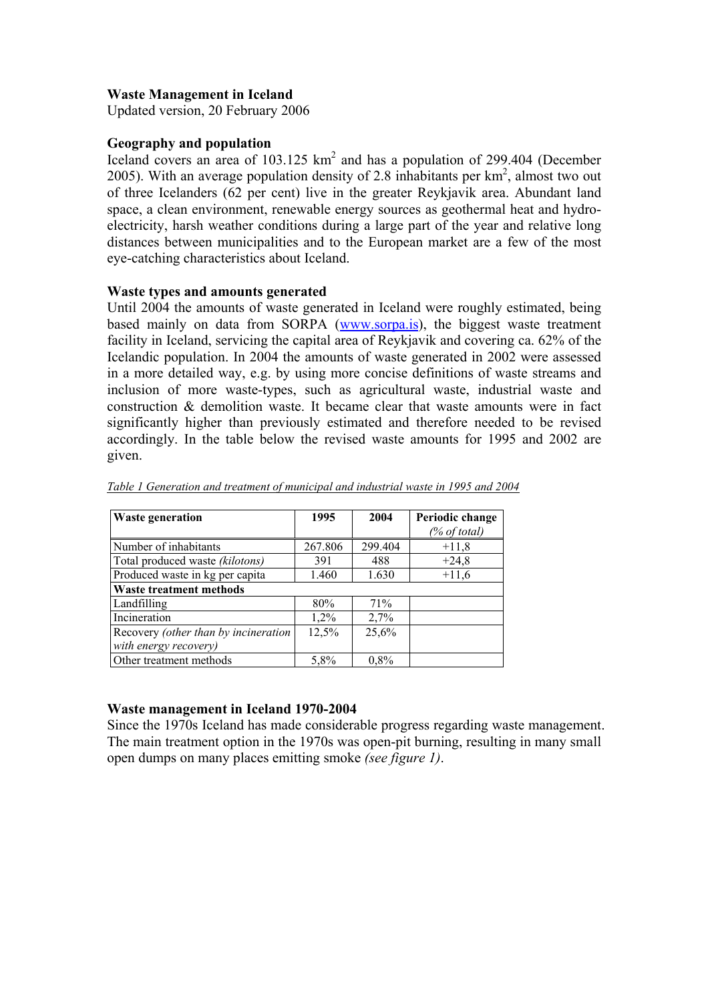## **Waste Management in Iceland**

Updated version, 20 February 2006

### **Geography and population**

Iceland covers an area of  $103.125 \text{ km}^2$  and has a population of 299.404 (December 2005). With an average population density of 2.8 inhabitants per  $km^2$ , almost two out of three Icelanders (62 per cent) live in the greater Reykjavik area. Abundant land space, a clean environment, renewable energy sources as geothermal heat and hydroelectricity, harsh weather conditions during a large part of the year and relative long distances between municipalities and to the European market are a few of the most eye-catching characteristics about Iceland.

#### **Waste types and amounts generated**

Until 2004 the amounts of waste generated in Iceland were roughly estimated, being based mainly on data from SORPA (www.sorpa.is), the biggest waste treatment facility in Iceland, servicing the capital area of Reykjavik and covering ca. 62% of the Icelandic population. In 2004 the amounts of waste generated in 2002 were assessed in a more detailed way, e.g. by using more concise definitions of waste streams and inclusion of more waste-types, such as agricultural waste, industrial waste and construction & demolition waste. It became clear that waste amounts were in fact significantly higher than previously estimated and therefore needed to be revised accordingly. In the table below the revised waste amounts for 1995 and 2002 are given.

| <b>Waste generation</b>              | 1995    | 2004    | Periodic change<br>$%$ of total) |
|--------------------------------------|---------|---------|----------------------------------|
| Number of inhabitants                | 267.806 | 299.404 | $+11,8$                          |
| Total produced waste (kilotons)      | 391     | 488     | $+24,8$                          |
| Produced waste in kg per capita      | 1.460   | 1.630   | $+11,6$                          |
| <b>Waste treatment methods</b>       |         |         |                                  |
| Landfilling                          | 80%     | 71%     |                                  |
| Incineration                         | 1,2%    | 2,7%    |                                  |
| Recovery (other than by incineration | 12,5%   | 25,6%   |                                  |
| with energy recovery)                |         |         |                                  |
| Other treatment methods              | 5,8%    | $0.8\%$ |                                  |

*Table 1 Generation and treatment of municipal and industrial waste in 1995 and 2004*

### **Waste management in Iceland 1970-2004**

Since the 1970s Iceland has made considerable progress regarding waste management. The main treatment option in the 1970s was open-pit burning, resulting in many small open dumps on many places emitting smoke *(see figure 1)*.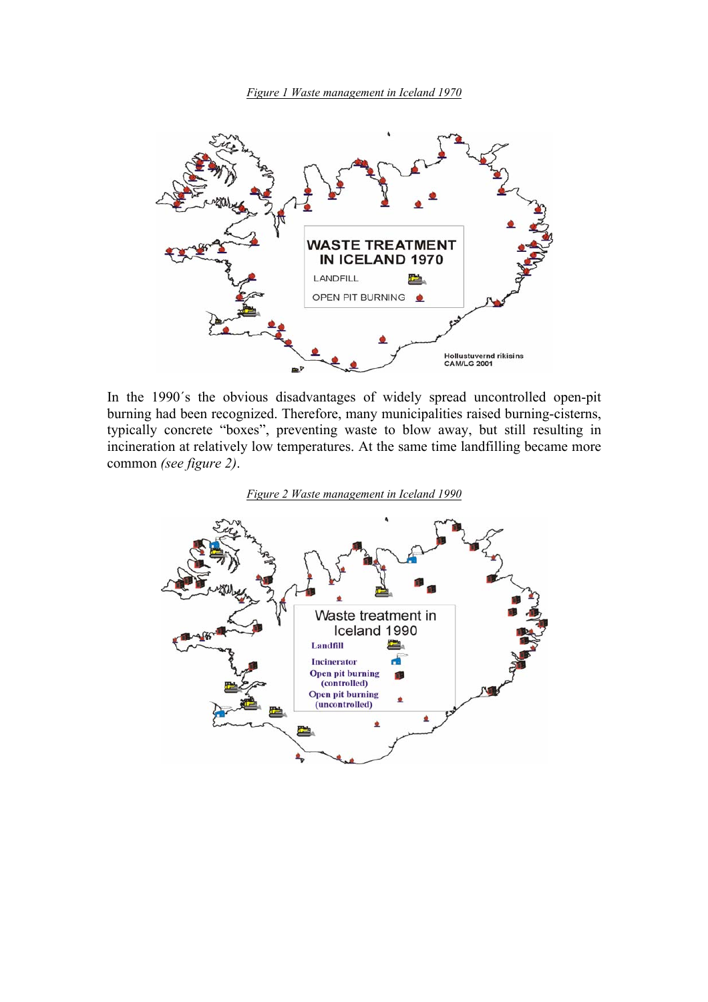*Figure 1 Waste management in Iceland 1970*



In the 1990´s the obvious disadvantages of widely spread uncontrolled open-pit burning had been recognized. Therefore, many municipalities raised burning-cisterns, typically concrete "boxes", preventing waste to blow away, but still resulting in incineration at relatively low temperatures. At the same time landfilling became more common *(see figure 2)*.



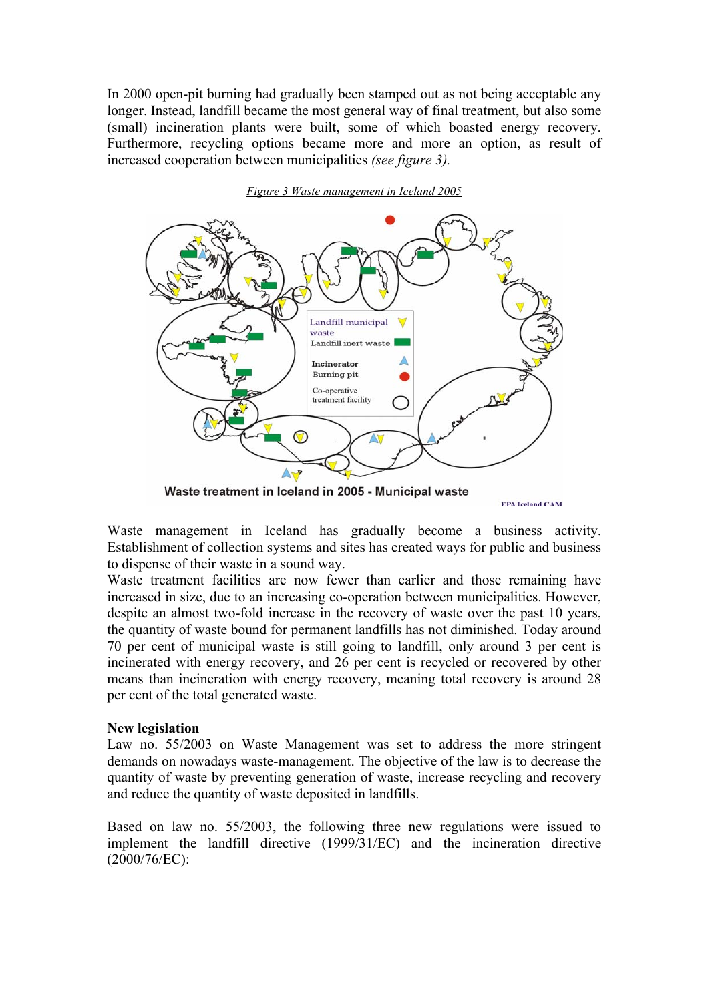In 2000 open-pit burning had gradually been stamped out as not being acceptable any longer. Instead, landfill became the most general way of final treatment, but also some (small) incineration plants were built, some of which boasted energy recovery. Furthermore, recycling options became more and more an option, as result of increased cooperation between municipalities *(see figure 3).* 



#### *Figure 3 Waste management in Iceland 2005*

Waste treatment in Iceland in 2005 - Municipal waste

**EPA Teeland CAM** 

Waste management in Iceland has gradually become a business activity. Establishment of collection systems and sites has created ways for public and business to dispense of their waste in a sound way.

Waste treatment facilities are now fewer than earlier and those remaining have increased in size, due to an increasing co-operation between municipalities. However, despite an almost two-fold increase in the recovery of waste over the past 10 years, the quantity of waste bound for permanent landfills has not diminished. Today around 70 per cent of municipal waste is still going to landfill, only around 3 per cent is incinerated with energy recovery, and 26 per cent is recycled or recovered by other means than incineration with energy recovery, meaning total recovery is around 28 per cent of the total generated waste.

### **New legislation**

Law no. 55/2003 on Waste Management was set to address the more stringent demands on nowadays waste-management. The objective of the law is to decrease the quantity of waste by preventing generation of waste, increase recycling and recovery and reduce the quantity of waste deposited in landfills.

Based on law no. 55/2003, the following three new regulations were issued to implement the landfill directive (1999/31/EC) and the incineration directive (2000/76/EC):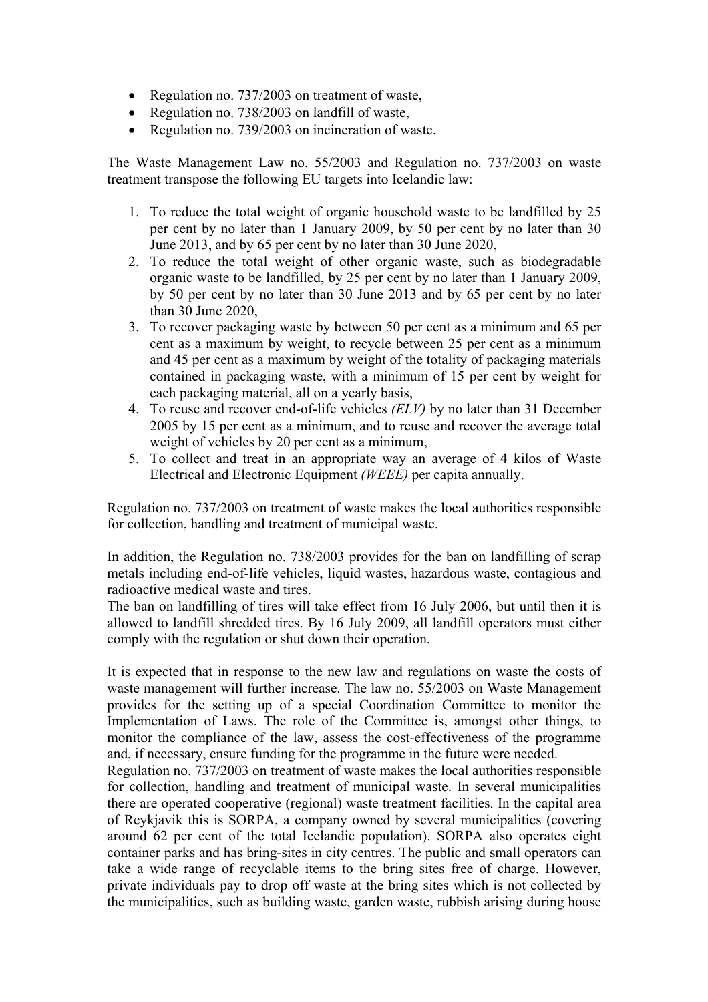- Regulation no. 737/2003 on treatment of waste,
- Regulation no. 738/2003 on landfill of waste,
- Regulation no. 739/2003 on incineration of waste.

The Waste Management Law no. 55/2003 and Regulation no. 737/2003 on waste treatment transpose the following EU targets into Icelandic law:

- 1. To reduce the total weight of organic household waste to be landfilled by 25 per cent by no later than 1 January 2009, by 50 per cent by no later than 30 June 2013, and by 65 per cent by no later than 30 June 2020,
- 2. To reduce the total weight of other organic waste, such as biodegradable organic waste to be landfilled, by 25 per cent by no later than 1 January 2009, by 50 per cent by no later than 30 June 2013 and by 65 per cent by no later than 30 June 2020,
- 3. To recover packaging waste by between 50 per cent as a minimum and 65 per cent as a maximum by weight, to recycle between 25 per cent as a minimum and 45 per cent as a maximum by weight of the totality of packaging materials contained in packaging waste, with a minimum of 15 per cent by weight for each packaging material, all on a yearly basis,
- 4. To reuse and recover end-of-life vehicles *(ELV)* by no later than 31 December 2005 by 15 per cent as a minimum, and to reuse and recover the average total weight of vehicles by 20 per cent as a minimum,
- 5. To collect and treat in an appropriate way an average of 4 kilos of Waste Electrical and Electronic Equipment *(WEEE)* per capita annually.

Regulation no. 737/2003 on treatment of waste makes the local authorities responsible for collection, handling and treatment of municipal waste.

In addition, the Regulation no. 738/2003 provides for the ban on landfilling of scrap metals including end-of-life vehicles, liquid wastes, hazardous waste, contagious and radioactive medical waste and tires.

The ban on landfilling of tires will take effect from 16 July 2006, but until then it is allowed to landfill shredded tires. By 16 July 2009, all landfill operators must either comply with the regulation or shut down their operation.

It is expected that in response to the new law and regulations on waste the costs of waste management will further increase. The law no. 55/2003 on Waste Management provides for the setting up of a special Coordination Committee to monitor the Implementation of Laws. The role of the Committee is, amongst other things, to monitor the compliance of the law, assess the cost-effectiveness of the programme and, if necessary, ensure funding for the programme in the future were needed.

Regulation no. 737/2003 on treatment of waste makes the local authorities responsible for collection, handling and treatment of municipal waste. In several municipalities there are operated cooperative (regional) waste treatment facilities. In the capital area of Reykjavik this is SORPA, a company owned by several municipalities (covering around 62 per cent of the total Icelandic population). SORPA also operates eight container parks and has bring-sites in city centres. The public and small operators can take a wide range of recyclable items to the bring sites free of charge. However, private individuals pay to drop off waste at the bring sites which is not collected by the municipalities, such as building waste, garden waste, rubbish arising during house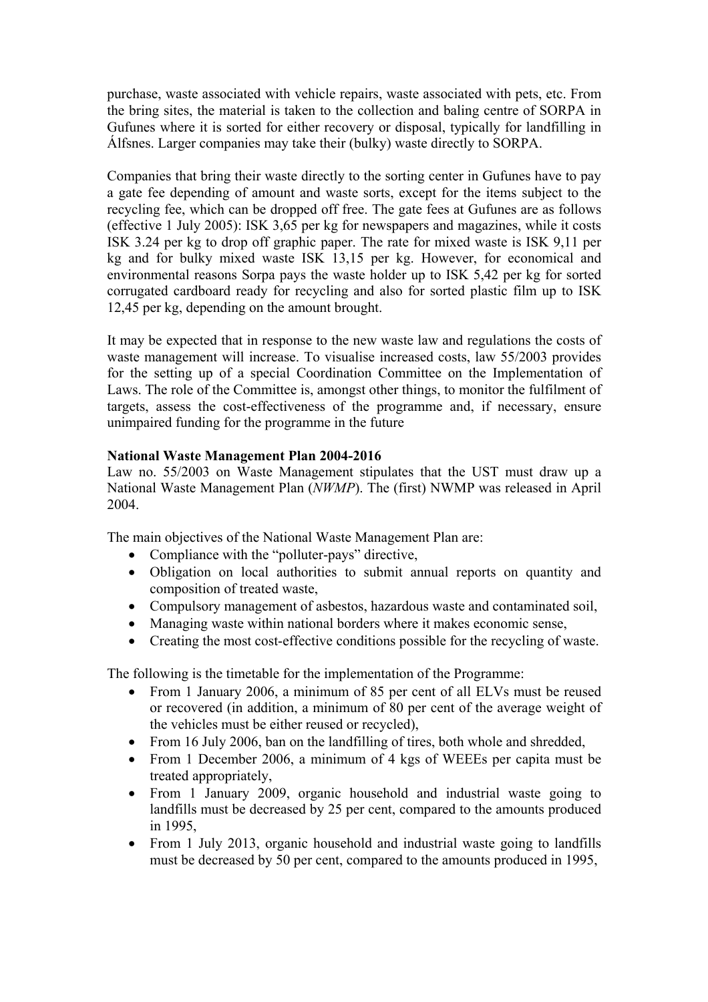purchase, waste associated with vehicle repairs, waste associated with pets, etc. From the bring sites, the material is taken to the collection and baling centre of SORPA in Gufunes where it is sorted for either recovery or disposal, typically for landfilling in Álfsnes. Larger companies may take their (bulky) waste directly to SORPA.

Companies that bring their waste directly to the sorting center in Gufunes have to pay a gate fee depending of amount and waste sorts, except for the items subject to the recycling fee, which can be dropped off free. The gate fees at Gufunes are as follows (effective 1 July 2005): ISK 3,65 per kg for newspapers and magazines, while it costs ISK 3.24 per kg to drop off graphic paper. The rate for mixed waste is ISK 9,11 per kg and for bulky mixed waste ISK 13,15 per kg. However, for economical and environmental reasons Sorpa pays the waste holder up to ISK 5,42 per kg for sorted corrugated cardboard ready for recycling and also for sorted plastic film up to ISK 12,45 per kg, depending on the amount brought.

It may be expected that in response to the new waste law and regulations the costs of waste management will increase. To visualise increased costs, law 55/2003 provides for the setting up of a special Coordination Committee on the Implementation of Laws. The role of the Committee is, amongst other things, to monitor the fulfilment of targets, assess the cost-effectiveness of the programme and, if necessary, ensure unimpaired funding for the programme in the future

### **National Waste Management Plan 2004-2016**

Law no. 55/2003 on Waste Management stipulates that the UST must draw up a National Waste Management Plan (*NWMP*). The (first) NWMP was released in April 2004.

The main objectives of the National Waste Management Plan are:

- Compliance with the "polluter-pays" directive,
- Obligation on local authorities to submit annual reports on quantity and composition of treated waste,
- Compulsory management of asbestos, hazardous waste and contaminated soil,
- Managing waste within national borders where it makes economic sense,
- Creating the most cost-effective conditions possible for the recycling of waste.

The following is the timetable for the implementation of the Programme:

- From 1 January 2006, a minimum of 85 per cent of all ELVs must be reused or recovered (in addition, a minimum of 80 per cent of the average weight of the vehicles must be either reused or recycled),
- From 16 July 2006, ban on the landfilling of tires, both whole and shredded,
- From 1 December 2006, a minimum of 4 kgs of WEEEs per capita must be treated appropriately,
- From 1 January 2009, organic household and industrial waste going to landfills must be decreased by 25 per cent, compared to the amounts produced in 1995,
- From 1 July 2013, organic household and industrial waste going to landfills must be decreased by 50 per cent, compared to the amounts produced in 1995,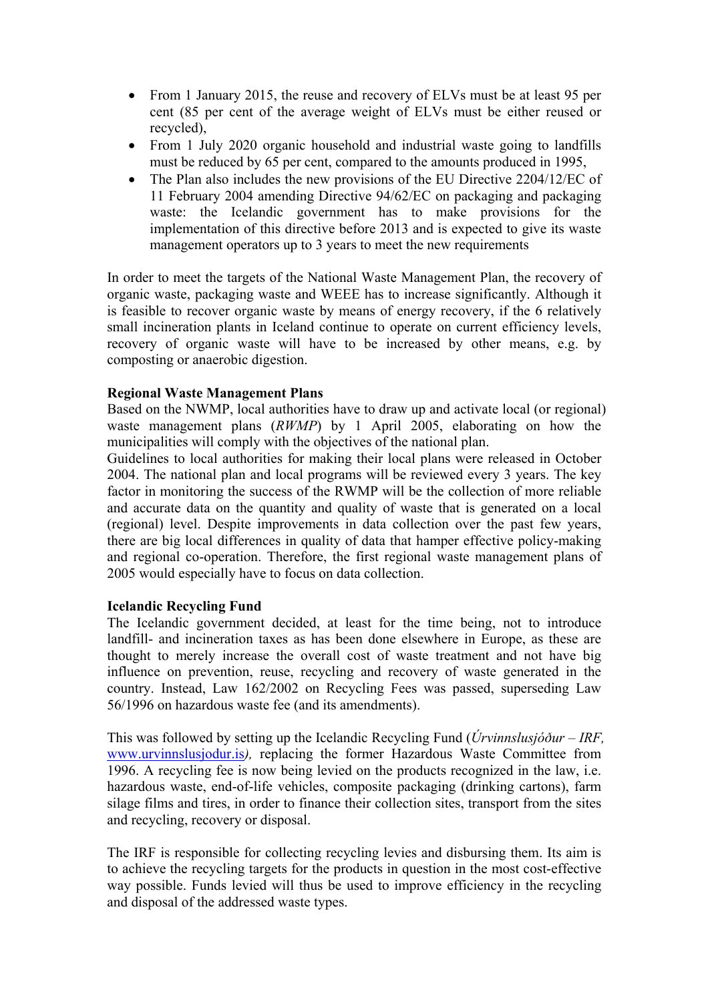- From 1 January 2015, the reuse and recovery of ELVs must be at least 95 per cent (85 per cent of the average weight of ELVs must be either reused or recycled),
- From 1 July 2020 organic household and industrial waste going to landfills must be reduced by 65 per cent, compared to the amounts produced in 1995,
- The Plan also includes the new provisions of the EU Directive 2204/12/EC of 11 February 2004 amending Directive 94/62/EC on packaging and packaging waste: the Icelandic government has to make provisions for the implementation of this directive before 2013 and is expected to give its waste management operators up to 3 years to meet the new requirements

In order to meet the targets of the National Waste Management Plan, the recovery of organic waste, packaging waste and WEEE has to increase significantly. Although it is feasible to recover organic waste by means of energy recovery, if the 6 relatively small incineration plants in Iceland continue to operate on current efficiency levels, recovery of organic waste will have to be increased by other means, e.g. by composting or anaerobic digestion.

# **Regional Waste Management Plans**

Based on the NWMP, local authorities have to draw up and activate local (or regional) waste management plans (*RWMP*) by 1 April 2005, elaborating on how the municipalities will comply with the objectives of the national plan.

Guidelines to local authorities for making their local plans were released in October 2004. The national plan and local programs will be reviewed every 3 years. The key factor in monitoring the success of the RWMP will be the collection of more reliable and accurate data on the quantity and quality of waste that is generated on a local (regional) level. Despite improvements in data collection over the past few years, there are big local differences in quality of data that hamper effective policy-making and regional co-operation. Therefore, the first regional waste management plans of 2005 would especially have to focus on data collection.

### **Icelandic Recycling Fund**

The Icelandic government decided, at least for the time being, not to introduce landfill- and incineration taxes as has been done elsewhere in Europe, as these are thought to merely increase the overall cost of waste treatment and not have big influence on prevention, reuse, recycling and recovery of waste generated in the country. Instead, Law 162/2002 on Recycling Fees was passed, superseding Law 56/1996 on hazardous waste fee (and its amendments).

This was followed by setting up the Icelandic Recycling Fund (*Úrvinnslusjóður – IRF,*  www.urvinnslusjodur.is*),* replacing the former Hazardous Waste Committee from 1996. A recycling fee is now being levied on the products recognized in the law, i.e. hazardous waste, end-of-life vehicles, composite packaging (drinking cartons), farm silage films and tires, in order to finance their collection sites, transport from the sites and recycling, recovery or disposal.

The IRF is responsible for collecting recycling levies and disbursing them. Its aim is to achieve the recycling targets for the products in question in the most cost-effective way possible. Funds levied will thus be used to improve efficiency in the recycling and disposal of the addressed waste types.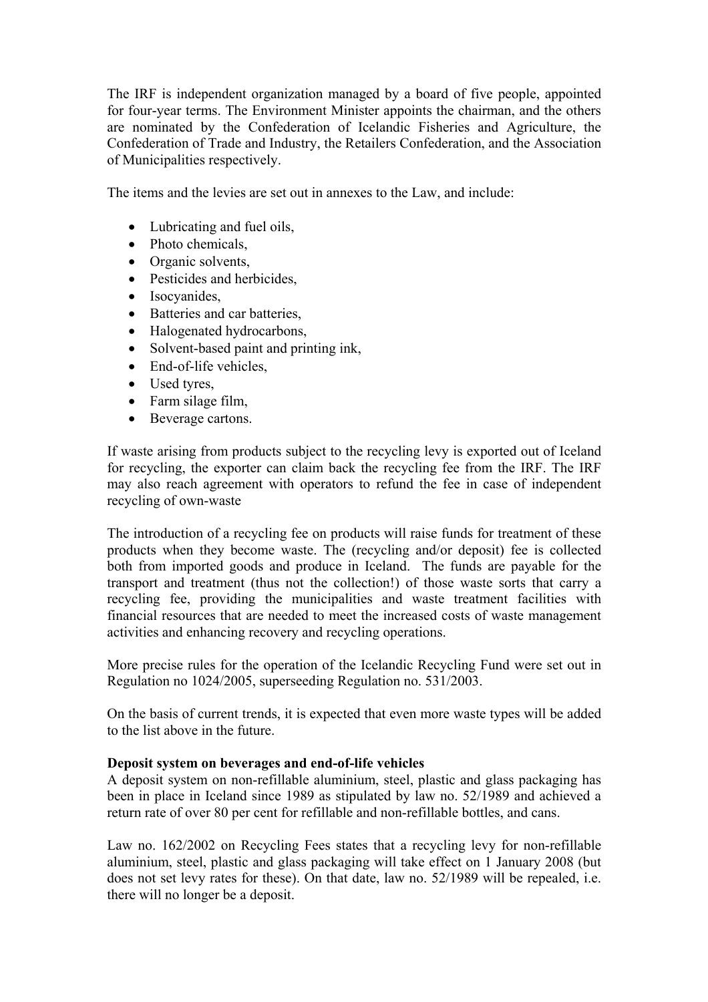The IRF is independent organization managed by a board of five people, appointed for four-year terms. The Environment Minister appoints the chairman, and the others are nominated by the Confederation of Icelandic Fisheries and Agriculture, the Confederation of Trade and Industry, the Retailers Confederation, and the Association of Municipalities respectively.

The items and the levies are set out in annexes to the Law, and include:

- Lubricating and fuel oils,
- Photo chemicals,
- Organic solvents.
- Pesticides and herbicides,
- Isocvanides.
- Batteries and car batteries,
- Halogenated hydrocarbons,
- Solvent-based paint and printing ink,
- End-of-life vehicles,
- Used tyres,
- Farm silage film,
- Beverage cartons.

If waste arising from products subject to the recycling levy is exported out of Iceland for recycling, the exporter can claim back the recycling fee from the IRF. The IRF may also reach agreement with operators to refund the fee in case of independent recycling of own-waste

The introduction of a recycling fee on products will raise funds for treatment of these products when they become waste. The (recycling and/or deposit) fee is collected both from imported goods and produce in Iceland. The funds are payable for the transport and treatment (thus not the collection!) of those waste sorts that carry a recycling fee, providing the municipalities and waste treatment facilities with financial resources that are needed to meet the increased costs of waste management activities and enhancing recovery and recycling operations.

More precise rules for the operation of the Icelandic Recycling Fund were set out in Regulation no 1024/2005, superseeding Regulation no. 531/2003.

On the basis of current trends, it is expected that even more waste types will be added to the list above in the future.

### **Deposit system on beverages and end-of-life vehicles**

A deposit system on non-refillable aluminium, steel, plastic and glass packaging has been in place in Iceland since 1989 as stipulated by law no. 52/1989 and achieved a return rate of over 80 per cent for refillable and non-refillable bottles, and cans.

Law no. 162/2002 on Recycling Fees states that a recycling levy for non-refillable aluminium, steel, plastic and glass packaging will take effect on 1 January 2008 (but does not set levy rates for these). On that date, law no. 52/1989 will be repealed, i.e. there will no longer be a deposit.